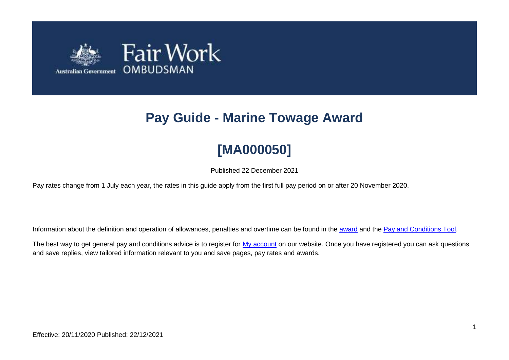

# **Pay Guide - Marine Towage Award**

# **[MA000050]**

Published 22 December 2021

Pay rates change from 1 July each year, the rates in this guide apply from the first full pay period on or after 20 November 2020.

Information about the definition and operation of allowances, penalties and overtime can be found in the [award](https://www.fairwork.gov.au/awards-and-agreements/awards/list-of-awards) and the [Pay and Conditions Tool.](https://calculate.fairwork.gov.au/)

The best way to get general pay and conditions advice is to register for [My account](https://www.fairwork.gov.au/my-account/registerpage.aspx) on our website. Once you have registered you can ask questions and save replies, view tailored information relevant to you and save pages, pay rates and awards.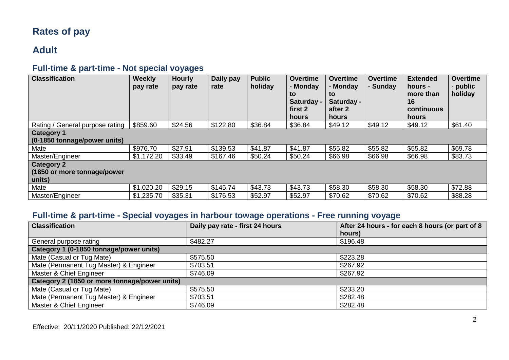# **Rates of pay**

# **Adult**

## **Full-time & part-time - Not special voyages**

| <b>Classification</b>           | Weekly<br>pay rate | <b>Hourly</b><br>pay rate | Daily pay<br>rate | <b>Public</b><br>holiday | <b>Overtime</b><br>- Monday<br>to<br>Saturday -<br>first 2<br>hours | <b>Overtime</b><br>- Monday<br>to<br>Saturday -<br>after 2<br>hours | <b>Overtime</b><br>- Sunday | <b>Extended</b><br>hours -<br>more than<br>16<br>continuous<br>hours | <b>Overtime</b><br>- public<br>holiday |
|---------------------------------|--------------------|---------------------------|-------------------|--------------------------|---------------------------------------------------------------------|---------------------------------------------------------------------|-----------------------------|----------------------------------------------------------------------|----------------------------------------|
| Rating / General purpose rating | \$859.60           | \$24.56                   | \$122.80          | \$36.84                  | \$36.84                                                             | \$49.12                                                             | \$49.12                     | \$49.12                                                              | \$61.40                                |
| <b>Category 1</b>               |                    |                           |                   |                          |                                                                     |                                                                     |                             |                                                                      |                                        |
| (0-1850 tonnage/power units)    |                    |                           |                   |                          |                                                                     |                                                                     |                             |                                                                      |                                        |
| Mate                            | \$976.70           | \$27.91                   | \$139.53          | \$41.87                  | \$41.87                                                             | \$55.82                                                             | \$55.82                     | \$55.82                                                              | \$69.78                                |
| Master/Engineer                 | \$1,172.20         | \$33.49                   | \$167.46          | \$50.24                  | \$50.24                                                             | \$66.98                                                             | \$66.98                     | \$66.98                                                              | \$83.73                                |
| <b>Category 2</b>               |                    |                           |                   |                          |                                                                     |                                                                     |                             |                                                                      |                                        |
| (1850 or more tonnage/power     |                    |                           |                   |                          |                                                                     |                                                                     |                             |                                                                      |                                        |
| units)                          |                    |                           |                   |                          |                                                                     |                                                                     |                             |                                                                      |                                        |
| Mate                            | \$1,020.20         | \$29.15                   | \$145.74          | \$43.73                  | \$43.73                                                             | \$58.30                                                             | \$58.30                     | \$58.30                                                              | \$72.88                                |
| Master/Engineer                 | \$1,235.70         | \$35.31                   | \$176.53          | \$52.97                  | \$52.97                                                             | \$70.62                                                             | \$70.62                     | \$70.62                                                              | \$88.28                                |

## **Full-time & part-time - Special voyages in harbour towage operations - Free running voyage**

| <b>Classification</b>                         | Daily pay rate - first 24 hours | After 24 hours - for each 8 hours (or part of 8 |
|-----------------------------------------------|---------------------------------|-------------------------------------------------|
|                                               |                                 | hours)                                          |
| General purpose rating                        | \$482.27                        | \$196.48                                        |
| Category 1 (0-1850 tonnage/power units)       |                                 |                                                 |
| Mate (Casual or Tug Mate)                     | \$575.50                        | \$223.28                                        |
| Mate (Permanent Tug Master) & Engineer        | \$703.51                        | \$267.92                                        |
| Master & Chief Engineer                       | \$746.09                        | \$267.92                                        |
| Category 2 (1850 or more tonnage/power units) |                                 |                                                 |
| Mate (Casual or Tug Mate)                     | \$575.50                        | \$233.20                                        |
| Mate (Permanent Tug Master) & Engineer        | \$703.51                        | \$282.48                                        |
| Master & Chief Engineer                       | \$746.09                        | \$282.48                                        |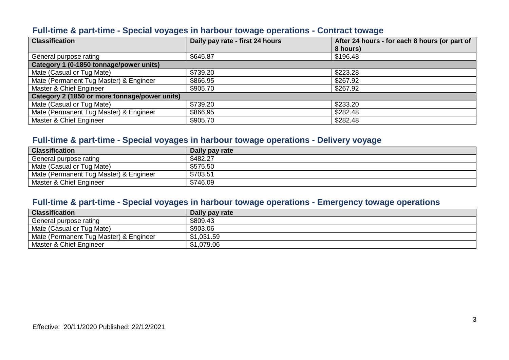#### **Full-time & part-time - Special voyages in harbour towage operations - Contract towage**

| <b>Classification</b>                         | Daily pay rate - first 24 hours | After 24 hours - for each 8 hours (or part of |
|-----------------------------------------------|---------------------------------|-----------------------------------------------|
|                                               |                                 | 8 hours)                                      |
| General purpose rating                        | \$645.87                        | \$196.48                                      |
| Category 1 (0-1850 tonnage/power units)       |                                 |                                               |
| Mate (Casual or Tug Mate)                     | \$739.20                        | \$223.28                                      |
| Mate (Permanent Tug Master) & Engineer        | \$866.95                        | \$267.92                                      |
| Master & Chief Engineer                       | \$905.70                        | \$267.92                                      |
| Category 2 (1850 or more tonnage/power units) |                                 |                                               |
| Mate (Casual or Tug Mate)                     | \$739.20                        | \$233.20                                      |
| Mate (Permanent Tug Master) & Engineer        | \$866.95                        | \$282.48                                      |
| Master & Chief Engineer                       | \$905.70                        | \$282.48                                      |

## **Full-time & part-time - Special voyages in harbour towage operations - Delivery voyage**

| <b>Classification</b>                  | Daily pay rate |
|----------------------------------------|----------------|
| General purpose rating                 | \$482.27       |
| Mate (Casual or Tug Mate)              | \$575.50       |
| Mate (Permanent Tug Master) & Engineer | \$703.51       |
| Master & Chief Engineer                | \$746.09       |

#### **Full-time & part-time - Special voyages in harbour towage operations - Emergency towage operations**

| <b>Classification</b>                  | Daily pay rate |
|----------------------------------------|----------------|
| General purpose rating                 | \$809.43       |
| Mate (Casual or Tug Mate)              | \$903.06       |
| Mate (Permanent Tug Master) & Engineer | \$1,031.59     |
| Master & Chief Engineer                | \$1,079.06     |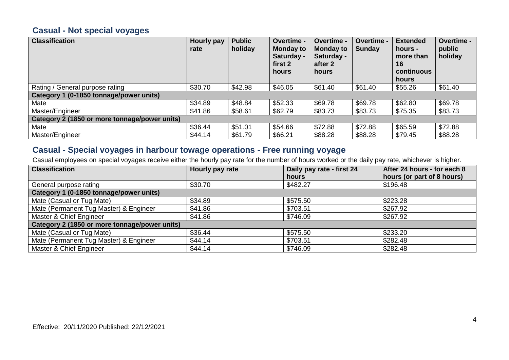## **Casual - Not special voyages**

| <b>Classification</b>                         | Hourly pay<br>rate | <b>Public</b><br>holiday | Overtime -<br><b>Monday to</b><br>Saturday -<br>first 2<br>hours | Overtime -<br><b>Monday to</b><br>Saturday -<br>after 2<br>hours | Overtime -<br>Sunday | <b>Extended</b><br>hours -<br>more than<br>16<br>continuous<br>hours | Overtime -<br>public<br>holiday |
|-----------------------------------------------|--------------------|--------------------------|------------------------------------------------------------------|------------------------------------------------------------------|----------------------|----------------------------------------------------------------------|---------------------------------|
| Rating / General purpose rating               | \$30.70            | \$42.98                  | \$46.05                                                          | \$61.40                                                          | \$61.40              | \$55.26                                                              | \$61.40                         |
| Category 1 (0-1850 tonnage/power units)       |                    |                          |                                                                  |                                                                  |                      |                                                                      |                                 |
| Mate                                          | \$34.89            | \$48.84                  | \$52.33                                                          | \$69.78                                                          | \$69.78              | \$62.80                                                              | \$69.78                         |
| Master/Engineer                               | \$41.86            | \$58.61                  | \$62.79                                                          | \$83.73                                                          | \$83.73              | \$75.35                                                              | \$83.73                         |
| Category 2 (1850 or more tonnage/power units) |                    |                          |                                                                  |                                                                  |                      |                                                                      |                                 |
| Mate                                          | \$36.44            | \$51.01                  | \$54.66                                                          | \$72.88                                                          | \$72.88              | \$65.59                                                              | \$72.88                         |
| Master/Engineer                               | \$44.14            | \$61.79                  | \$66.21                                                          | \$88.28                                                          | \$88.28              | \$79.45                                                              | \$88.28                         |

## **Casual - Special voyages in harbour towage operations - Free running voyage**

Casual employees on special voyages receive either the hourly pay rate for the number of hours worked or the daily pay rate, whichever is higher.

| <b>Classification</b>                         | Hourly pay rate | Daily pay rate - first 24 | After 24 hours - for each 8 |
|-----------------------------------------------|-----------------|---------------------------|-----------------------------|
|                                               |                 | hours                     | hours (or part of 8 hours)  |
| General purpose rating                        | \$30.70         | \$482.27                  | \$196.48                    |
| Category 1 (0-1850 tonnage/power units)       |                 |                           |                             |
| Mate (Casual or Tug Mate)                     | \$34.89         | \$575.50                  | \$223.28                    |
| Mate (Permanent Tug Master) & Engineer        | \$41.86         | \$703.51                  | \$267.92                    |
| Master & Chief Engineer                       | \$41.86         | \$746.09                  | \$267.92                    |
| Category 2 (1850 or more tonnage/power units) |                 |                           |                             |
| Mate (Casual or Tug Mate)                     | \$36.44         | \$575.50                  | \$233.20                    |
| Mate (Permanent Tug Master) & Engineer        | \$44.14         | \$703.51                  | \$282.48                    |
| Master & Chief Engineer                       | \$44.14         | \$746.09                  | \$282.48                    |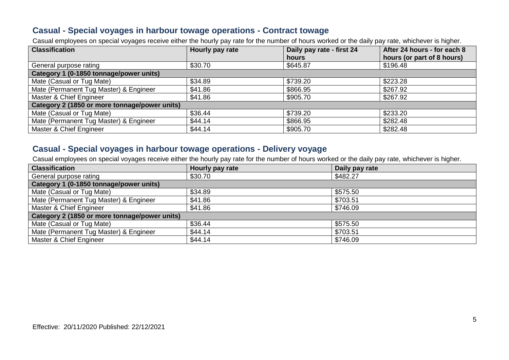#### **Casual - Special voyages in harbour towage operations - Contract towage**

Casual employees on special voyages receive either the hourly pay rate for the number of hours worked or the daily pay rate, whichever is higher.

| <b>Classification</b>                         | Hourly pay rate | Daily pay rate - first 24 | After 24 hours - for each 8 |
|-----------------------------------------------|-----------------|---------------------------|-----------------------------|
|                                               |                 | hours                     | hours (or part of 8 hours)  |
| General purpose rating                        | \$30.70         | \$645.87                  | \$196.48                    |
| Category 1 (0-1850 tonnage/power units)       |                 |                           |                             |
| Mate (Casual or Tug Mate)                     | \$34.89         | \$739.20                  | \$223.28                    |
| Mate (Permanent Tug Master) & Engineer        | \$41.86         | \$866.95                  | \$267.92                    |
| Master & Chief Engineer                       | \$41.86         | \$905.70                  | \$267.92                    |
| Category 2 (1850 or more tonnage/power units) |                 |                           |                             |
| Mate (Casual or Tug Mate)                     | \$36.44         | \$739.20                  | \$233.20                    |
| Mate (Permanent Tug Master) & Engineer        | \$44.14         | \$866.95                  | \$282.48                    |
| Master & Chief Engineer                       | \$44.14         | \$905.70                  | \$282.48                    |

#### **Casual - Special voyages in harbour towage operations - Delivery voyage**

Casual employees on special voyages receive either the hourly pay rate for the number of hours worked or the daily pay rate, whichever is higher.

| <b>Classification</b>                         | Hourly pay rate | Daily pay rate |
|-----------------------------------------------|-----------------|----------------|
| General purpose rating                        | \$30.70         | \$482.27       |
| Category 1 (0-1850 tonnage/power units)       |                 |                |
| Mate (Casual or Tug Mate)                     | \$34.89         | \$575.50       |
| Mate (Permanent Tug Master) & Engineer        | \$41.86         | \$703.51       |
| Master & Chief Engineer                       | \$41.86         | \$746.09       |
| Category 2 (1850 or more tonnage/power units) |                 |                |
| Mate (Casual or Tug Mate)                     | \$36.44         | \$575.50       |
| Mate (Permanent Tug Master) & Engineer        | \$44.14         | \$703.51       |
| Master & Chief Engineer                       | \$44.14         | \$746.09       |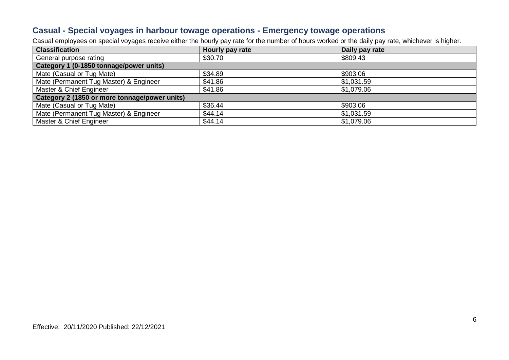#### **Casual - Special voyages in harbour towage operations - Emergency towage operations**

Casual employees on special voyages receive either the hourly pay rate for the number of hours worked or the daily pay rate, whichever is higher.

| <b>Classification</b>                         | Hourly pay rate | Daily pay rate |  |
|-----------------------------------------------|-----------------|----------------|--|
| General purpose rating                        | \$30.70         | \$809.43       |  |
| Category 1 (0-1850 tonnage/power units)       |                 |                |  |
| Mate (Casual or Tug Mate)                     | \$34.89         | \$903.06       |  |
| Mate (Permanent Tug Master) & Engineer        | \$41.86         | \$1,031.59     |  |
| Master & Chief Engineer                       | \$41.86         | \$1,079.06     |  |
| Category 2 (1850 or more tonnage/power units) |                 |                |  |
| Mate (Casual or Tug Mate)                     | \$36.44         | \$903.06       |  |
| Mate (Permanent Tug Master) & Engineer        | \$44.14         | \$1,031.59     |  |
| Master & Chief Engineer                       | \$44.14         | \$1,079.06     |  |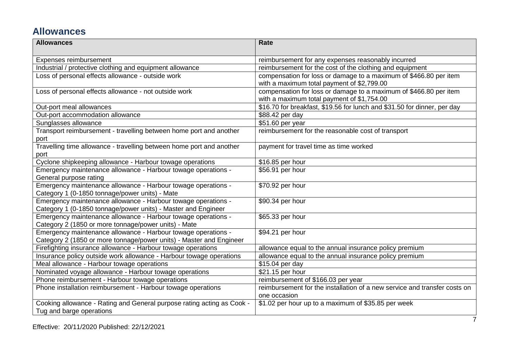# **Allowances**

| <b>Allowances</b>                                                          | <b>Rate</b>                                                               |
|----------------------------------------------------------------------------|---------------------------------------------------------------------------|
| Expenses reimbursement                                                     | reimbursement for any expenses reasonably incurred                        |
| Industrial / protective clothing and equipment allowance                   | reimbursement for the cost of the clothing and equipment                  |
| Loss of personal effects allowance - outside work                          | compensation for loss or damage to a maximum of \$466.80 per item         |
|                                                                            | with a maximum total payment of \$2,799.00                                |
| Loss of personal effects allowance - not outside work                      | compensation for loss or damage to a maximum of \$466.80 per item         |
|                                                                            | with a maximum total payment of \$1,754.00                                |
| Out-port meal allowances                                                   | \$16.70 for breakfast, \$19.56 for lunch and \$31.50 for dinner, per day  |
| Out-port accommodation allowance                                           | \$88.42 per day                                                           |
| Sunglasses allowance                                                       | \$51.60 per year                                                          |
| Transport reimbursement - travelling between home port and another<br>port | reimbursement for the reasonable cost of transport                        |
| Travelling time allowance - travelling between home port and another       | payment for travel time as time worked                                    |
| port                                                                       |                                                                           |
| Cyclone shipkeeping allowance - Harbour towage operations                  | \$16.85 per hour                                                          |
| Emergency maintenance allowance - Harbour towage operations -              | \$56.91 per hour                                                          |
| General purpose rating                                                     |                                                                           |
| Emergency maintenance allowance - Harbour towage operations -              | \$70.92 per hour                                                          |
| Category 1 (0-1850 tonnage/power units) - Mate                             |                                                                           |
| Emergency maintenance allowance - Harbour towage operations -              | \$90.34 per hour                                                          |
| Category 1 (0-1850 tonnage/power units) - Master and Engineer              |                                                                           |
| Emergency maintenance allowance - Harbour towage operations -              | \$65.33 per hour                                                          |
| Category 2 (1850 or more tonnage/power units) - Mate                       |                                                                           |
| Emergency maintenance allowance - Harbour towage operations -              | \$94.21 per hour                                                          |
| Category 2 (1850 or more tonnage/power units) - Master and Engineer        |                                                                           |
| Firefighting insurance allowance - Harbour towage operations               | allowance equal to the annual insurance policy premium                    |
| Insurance policy outside work allowance - Harbour towage operations        | allowance equal to the annual insurance policy premium                    |
| Meal allowance - Harbour towage operations                                 | \$15.04 per day                                                           |
| Nominated voyage allowance - Harbour towage operations                     | \$21.15 per hour                                                          |
| Phone reimbursement - Harbour towage operations                            | reimbursement of \$166.03 per year                                        |
| Phone installation reimbursement - Harbour towage operations               | reimbursement for the installation of a new service and transfer costs on |
|                                                                            | one occasion                                                              |
| Cooking allowance - Rating and General purpose rating acting as Cook -     | \$1.02 per hour up to a maximum of \$35.85 per week                       |
| Tug and barge operations                                                   |                                                                           |